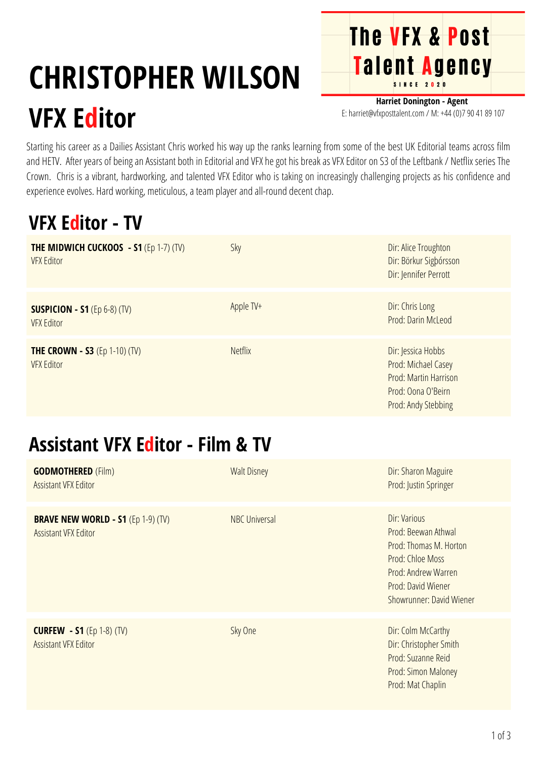# **CHRISTOPHER WILSON**

# **VFX Editor**

**Harriet Donington - Agent** E: harriet@vfxposttalent.com / M: +44 (0)7 90 41 89 107

**The VFX & Post** 

Talent Agency

Starting his career as a Dailies Assistant Chris worked his way up the ranks learning from some of the best UK Editorial teams across film and HETV. After years of being an Assistant both in Editorial and VFX he got his break as VFX Editor on S3 of the Leftbank / Netflix series The Crown. Chris is a vibrant, hardworking, and talented VFX Editor who is taking on increasingly challenging projects as his confidence and experience evolves. Hard working, meticulous, a team player and all-round decent chap.

#### **VFX Editor - TV**

| <b>THE MIDWICH CUCKOOS - S1 (Ep 1-7) (TV)</b><br><b>VFX Editor</b> | Sky            | Dir: Alice Troughton<br>Dir: Börkur Sigþórsson<br>Dir: Jennifer Perrott                                         |
|--------------------------------------------------------------------|----------------|-----------------------------------------------------------------------------------------------------------------|
| <b>SUSPICION - S1</b> (Ep $6-8$ ) (TV)<br><b>VFX Editor</b>        | Apple TV+      | Dir: Chris Long<br>Prod: Darin McLeod                                                                           |
| <b>THE CROWN - S3</b> (Ep 1-10) (TV)<br><b>VFX Editor</b>          | <b>Netflix</b> | Dir: Jessica Hobbs<br>Prod: Michael Casey<br>Prod: Martin Harrison<br>Prod: Oona O'Beirn<br>Prod: Andy Stebbing |

#### **Assistant VFX Editor - Film & TV**

| <b>GODMOTHERED (Film)</b><br><b>Assistant VFX Editor</b>                              | <b>Walt Disney</b>   | Dir: Sharon Maguire<br>Prod: Justin Springer                                                                                                               |
|---------------------------------------------------------------------------------------|----------------------|------------------------------------------------------------------------------------------------------------------------------------------------------------|
| <b>BRAVE NEW WORLD - S1 <math>(Ep 1-9)</math> (TV)</b><br><b>Assistant VFX Editor</b> | <b>NBC Universal</b> | Dir: Various<br>Prod: Beewan Athwal<br>Prod: Thomas M. Horton<br>Prod: Chloe Moss<br>Prod: Andrew Warren<br>Prod: David Wiener<br>Showrunner: David Wiener |
| <b>CURFEW - S1</b> (Ep 1-8) (TV)<br><b>Assistant VFX Editor</b>                       | Sky One              | Dir: Colm McCarthy<br>Dir: Christopher Smith<br>Prod: Suzanne Reid<br>Prod: Simon Maloney<br>Prod: Mat Chaplin                                             |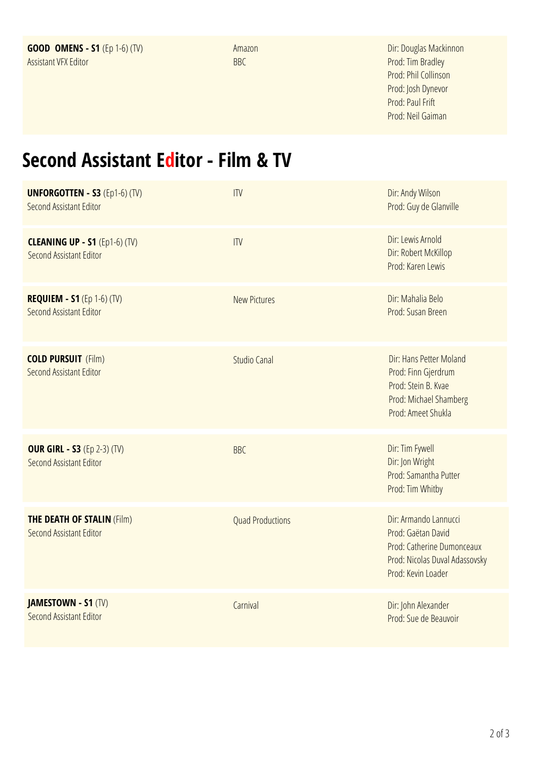Amazon BBC

Dir: [D](https://pro.imdb.com/name/nm0533559/?ref_=tt_fm_dir)ouglas [Mackinnon](https://pro.imdb.com/name/nm0533559/?ref_=tt_fm_dir) Prod: Tim [Bradley](https://pro.imdb.com/name/nm0103416/?ref_=tt_fm_prodr) Prod: Phil [Collinson](https://pro.imdb.com/name/nm0172773/?ref_=tt_fm_prodr) Prod: Josh [Dynevor](https://pro.imdb.com/name/nm0245949/?ref_=tt_fm_prodr) Prod: [Paul](https://pro.imdb.com/name/nm0295684/?ref_=tt_fm_prodr) Frift Prod: Neil [Gaiman](https://pro.imdb.com/name/nm0301274/?ref_=tt_fm_showrnr)

## **Second Assistant Editor - Film & TV**

| <b>UNFORGOTTEN - S3 (Ep1-6) (TV)</b><br>Second Assistant Editor | ITV                     | Dir: Andy Wilson<br>Prod: Guy de Glanville                                                                                        |
|-----------------------------------------------------------------|-------------------------|-----------------------------------------------------------------------------------------------------------------------------------|
| <b>CLEANING UP - S1 (Ep1-6) (TV)</b><br>Second Assistant Editor | IIIV                    | Dir: Lewis Arnold<br>Dir: Robert McKillop<br>Prod: Karen Lewis                                                                    |
| <b>REQUIEM - S1</b> (Ep 1-6) (TV)<br>Second Assistant Editor    | <b>New Pictures</b>     | Dir: Mahalia Belo<br>Prod: Susan Breen                                                                                            |
| <b>COLD PURSUIT</b> (Film)<br>Second Assistant Editor           | <b>Studio Canal</b>     | Dir: Hans Petter Moland<br>Prod: Finn Gjerdrum<br>Prod: Stein B. Kvae<br>Prod: Michael Shamberg<br>Prod: Ameet Shukla             |
| <b>OUR GIRL - S3 (Ep 2-3) (TV)</b><br>Second Assistant Editor   | <b>BBC</b>              | Dir: Tim Fywell<br>Dir: Jon Wright<br>Prod: Samantha Putter<br>Prod: Tim Whitby                                                   |
| <b>THE DEATH OF STALIN (Film)</b><br>Second Assistant Editor    | <b>Quad Productions</b> | Dir: Armando Lannucci<br>Prod: Gaëtan David<br>Prod: Catherine Dumonceaux<br>Prod: Nicolas Duval Adassovsky<br>Prod: Kevin Loader |
| <b>JAMESTOWN - S1 (TV)</b><br>Second Assistant Editor           | Carnival                | Dir: John Alexander<br>Prod: Sue de Beauvoir                                                                                      |